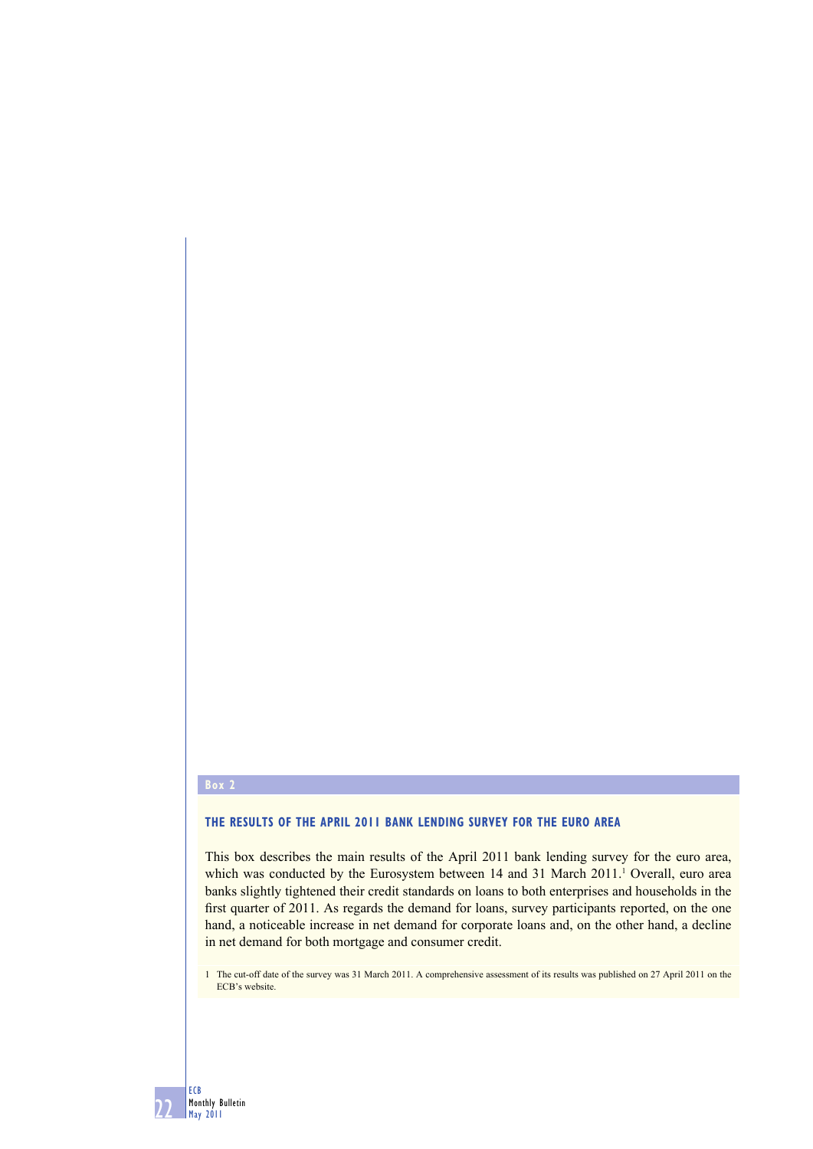### **Box 2**

22

ECB Monthly Bulletin May 2011

#### **THE RESULTS OF THE APRIL 2011 BANK LENDING SURVEY FOR THE EURO AREA**

This box describes the main results of the April 2011 bank lending survey for the euro area, which was conducted by the Eurosystem between  $14$  and  $31$  March  $2011$ .<sup>1</sup> Overall, euro area banks slightly tightened their credit standards on loans to both enterprises and households in the first quarter of 2011. As regards the demand for loans, survey participants reported, on the one hand, a noticeable increase in net demand for corporate loans and, on the other hand, a decline in net demand for both mortgage and consumer credit.

1 The cut-off date of the survey was 31 March 2011. A comprehensive assessment of its results was published on 27 April 2011 on the ECB's website.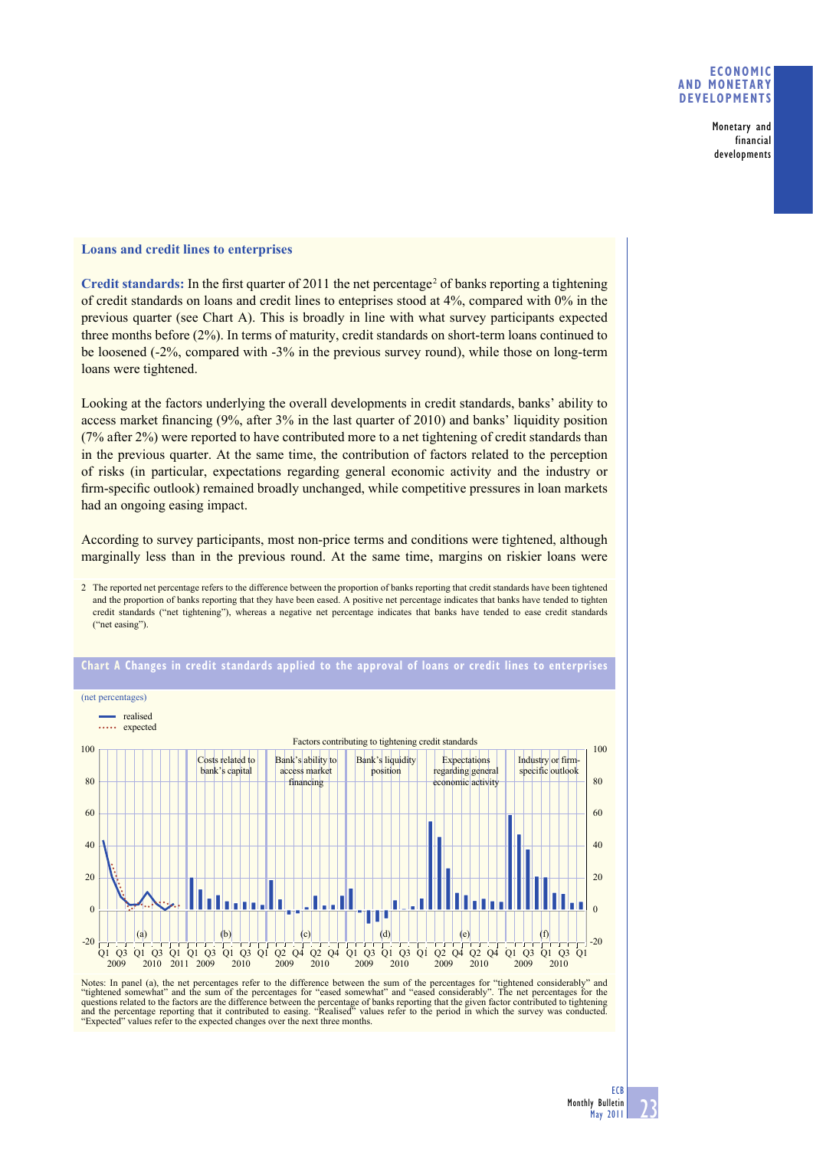## **ECONOMIC AND MONETARY DEVELOPMENTS**

Monetary and financial developments

## **Loans and credit lines to enterprises**

Credit standards: In the first quarter of 2011 the net percentage<sup>2</sup> of banks reporting a tightening of credit standards on loans and credit lines to enteprises stood at 4%, compared with 0% in the previous quarter (see Chart A). This is broadly in line with what survey participants expected three months before (2%). In terms of maturity, credit standards on short-term loans continued to be loosened (-2%, compared with -3% in the previous survey round), while those on long-term loans were tightened.

Looking at the factors underlying the overall developments in credit standards, banks' ability to access market financing  $(9\%, \text{ after } 3\% \text{ in the last quarter of } 2010)$  and banks' liquidity position (7% after 2%) were reported to have contributed more to a net tightening of credit standards than in the previous quarter. At the same time, the contribution of factors related to the perception of risks (in particular, expectations regarding general economic activity and the industry or firm-specific outlook) remained broadly unchanged, while competitive pressures in loan markets had an ongoing easing impact.

According to survey participants, most non-price terms and conditions were tightened, although marginally less than in the previous round. At the same time, margins on riskier loans were

<sup>2</sup> The reported net percentage refers to the difference between the proportion of banks reporting that credit standards have been tightened and the proportion of banks reporting that they have been eased. A positive net percentage indicates that banks have tended to tighten credit standards ("net tightening"), whereas a negative net percentage indicates that banks have tended to ease credit standards ("net easing").



# **Chart A Changes in credit standards applied to the approval of loans or credit lines to enterprises**

Notes: In panel (a), the net percentages refer to the difference between the sum of the percentages for "tightened considerably" and<br>"tightened somewhat" and the sum of the percentages for "eased somewhat" and "eased consi and the percentage reporting that it contributed to easing. "Realised" values refer to the period in which the survey was conducted. "Expected" values refer to the expected changes over the next three months.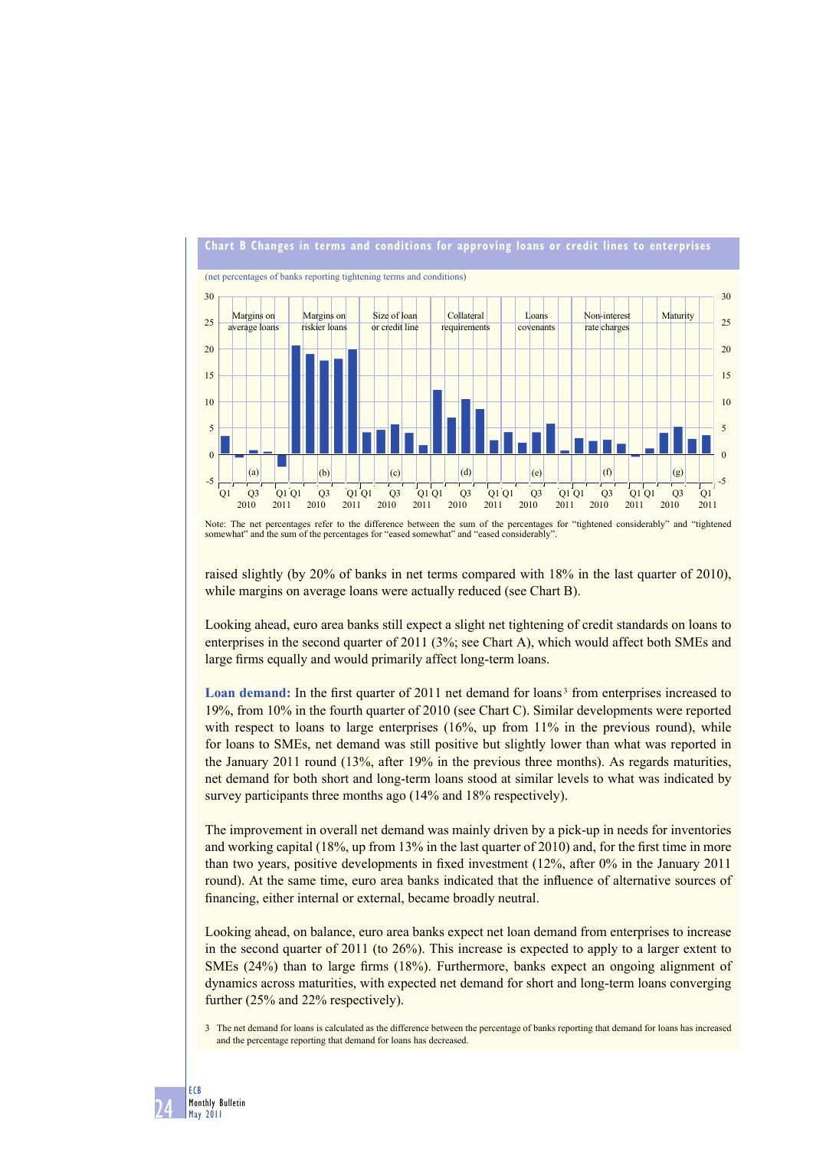

Note: The net percentages refer to the difference between the sum of the percentages for "tightened considerably" and "tightened somewhat" and the sum of the percentages for "eased somewhat" and "eased considerably".

raised slightly (by 20% of banks in net terms compared with 18% in the last quarter of 2010), while margins on average loans were actually reduced (see Chart B).

Looking ahead, euro area banks still expect a slight net tightening of credit standards on loans to enterprises in the second quarter of 2011 (3%; see Chart A), which would affect both SMEs and large firms equally and would primarily affect long-term loans.

Loan demand: In the first quarter of 2011 net demand for loans<sup>3</sup> from enterprises increased to 19%, from 10% in the fourth quarter of 2010 (see Chart C). Similar developments were reported with respect to loans to large enterprises  $(16\%$ , up from  $11\%$  in the previous round), while for loans to SMEs, net demand was still positive but slightly lower than what was reported in the January 2011 round (13%, after 19% in the previous three months). As regards maturities, net demand for both short and long-term loans stood at similar levels to what was indicated by survey participants three months ago (14% and 18% respectively).

The improvement in overall net demand was mainly driven by a pick-up in needs for inventories and working capital (18%, up from 13% in the last quarter of 2010) and, for the first time in more than two years, positive developments in fixed investment  $(12\%$ , after 0% in the January 2011 round). At the same time, euro area banks indicated that the influence of alternative sources of financing, either internal or external, became broadly neutral.

Looking ahead, on balance, euro area banks expect net loan demand from enterprises to increase in the second quarter of 2011 (to 26%). This increase is expected to apply to a larger extent to SMEs (24%) than to large firms (18%). Furthermore, banks expect an ongoing alignment of dynamics across maturities, with expected net demand for short and long-term loans converging further (25% and 22% respectively).

3 The net demand for loans is calculated as the difference between the percentage of banks reporting that demand for loans has increased and the percentage reporting that demand for loans has decreased.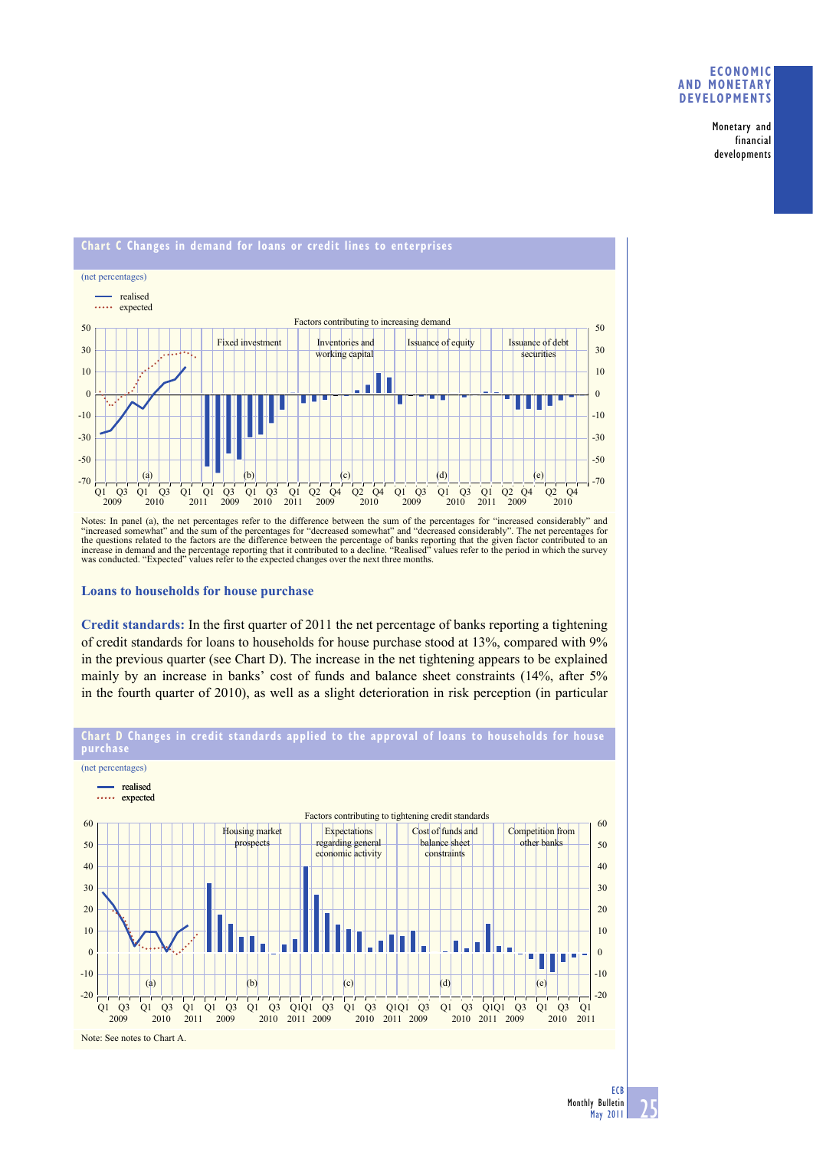### **ECONOMIC AND MONETARY DEVELOPMENTS**

Monetary and financial developments



Notes: In panel (a), the net percentages refer to the difference between the sum of the percentages for "increased considerably" and "increased somewhat" and the sum of the percentages for "decreased somewhat" and "decreased considerably". The net percentages for<br>the questions related to the factors are the difference between the percentage of banks rep

**Loans to households for house purchase**

Credit standards: In the first quarter of 2011 the net percentage of banks reporting a tightening of credit standards for loans to households for house purchase stood at 13%, compared with 9% in the previous quarter (see Chart D). The increase in the net tightening appears to be explained mainly by an increase in banks' cost of funds and balance sheet constraints (14%, after 5% in the fourth quarter of 2010), as well as a slight deterioration in risk perception (in particular



**Chart D Changes in credit standards applied to the approval of loans to households for house**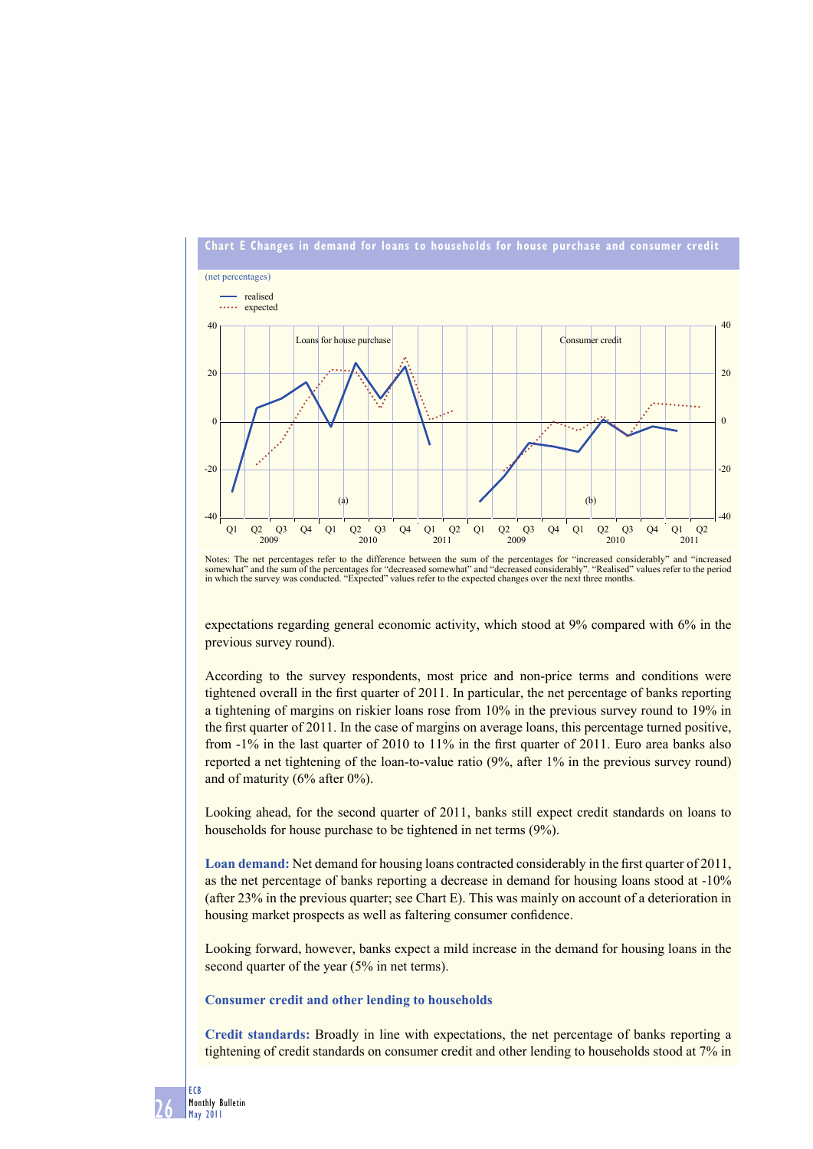

Notes: The net percentages refer to the difference between the sum of the percentages for "increased considerably" and "increased<br>somewhat" and the sum of the percentages for "decreased somewhat" and "decreased considerabl

expectations regarding general economic activity, which stood at 9% compared with 6% in the previous survey round).

According to the survey respondents, most price and non-price terms and conditions were tightened overall in the first quarter of 2011. In particular, the net percentage of banks reporting a tightening of margins on riskier loans rose from 10% in the previous survey round to 19% in the first quarter of 2011. In the case of margins on average loans, this percentage turned positive, from -1% in the last quarter of 2010 to 11% in the first quarter of 2011. Euro area banks also reported a net tightening of the loan-to-value ratio (9%, after 1% in the previous survey round) and of maturity (6% after 0%).

Looking ahead, for the second quarter of 2011, banks still expect credit standards on loans to households for house purchase to be tightened in net terms (9%).

Loan demand: Net demand for housing loans contracted considerably in the first quarter of 2011, as the net percentage of banks reporting a decrease in demand for housing loans stood at -10% (after 23% in the previous quarter; see Chart E). This was mainly on account of a deterioration in housing market prospects as well as faltering consumer confidence.

Looking forward, however, banks expect a mild increase in the demand for housing loans in the second quarter of the year (5% in net terms).

## **Consumer credit and other lending to households**

**Credit standards:** Broadly in line with expectations, the net percentage of banks reporting a tightening of credit standards on consumer credit and other lending to households stood at 7% in

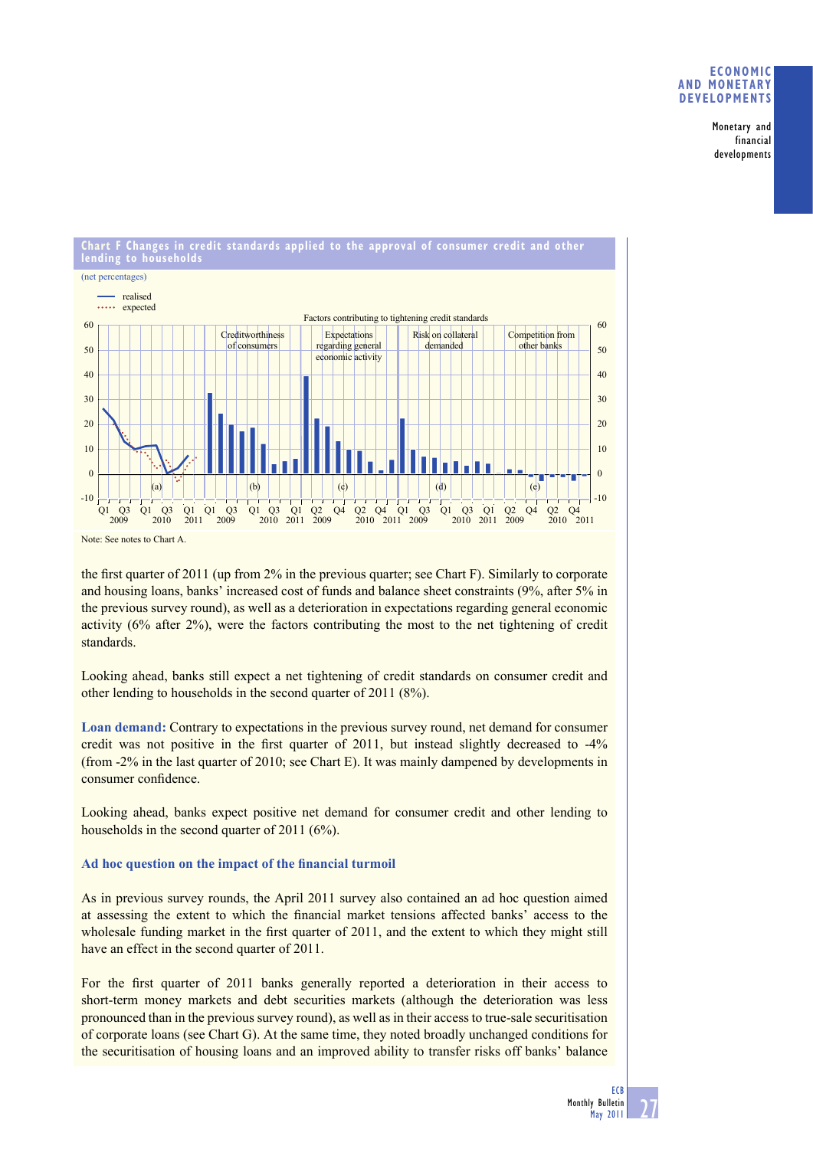## **ECONOMIC AND MONETARY DEVELOPMENTS**

Monetary and financial developments



Note: See notes to Chart A.

the first quarter of 2011 (up from  $2\%$  in the previous quarter; see Chart F). Similarly to corporate and housing loans, banks' increased cost of funds and balance sheet constraints (9%, after 5% in the previous survey round), as well as a deterioration in expectations regarding general economic activity (6% after 2%), were the factors contributing the most to the net tightening of credit standards.

Looking ahead, banks still expect a net tightening of credit standards on consumer credit and other lending to households in the second quarter of 2011 (8%).

**Loan demand:** Contrary to expectations in the previous survey round, net demand for consumer credit was not positive in the first quarter of 2011, but instead slightly decreased to  $-4\%$ (from -2% in the last quarter of 2010; see Chart E). It was mainly dampened by developments in consumer confidence.

Looking ahead, banks expect positive net demand for consumer credit and other lending to households in the second quarter of 2011 (6%).

# Ad hoc question on the impact of the financial turmoil

As in previous survey rounds, the April 2011 survey also contained an ad hoc question aimed at assessing the extent to which the financial market tensions affected banks' access to the wholesale funding market in the first quarter of 2011, and the extent to which they might still have an effect in the second quarter of 2011.

For the first quarter of 2011 banks generally reported a deterioration in their access to short-term money markets and debt securities markets (although the deterioration was less pronounced than in the previous survey round), as well as in their access to true-sale securitisation of corporate loans (see Chart G). At the same time, they noted broadly unchanged conditions for the securitisation of housing loans and an improved ability to transfer risks off banks' balance